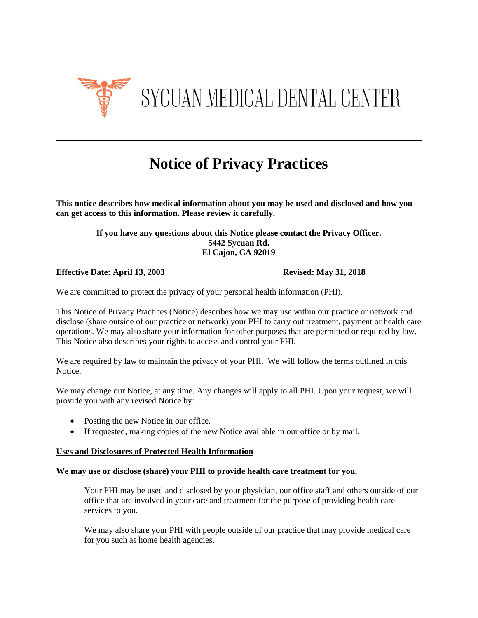

# **Notice of Privacy Practices**

**This notice describes how medical information about you may be used and disclosed and how you can get access to this information. Please review it carefully.** 

#### **If you have any questions about this Notice please contact the Privacy Officer. 5442 Sycuan Rd. El Cajon, CA 92019**

**Effective Date: April 13, 2003 Revised: May 31, 2018**

We are committed to protect the privacy of your personal health information (PHI).

This Notice of Privacy Practices (Notice) describes how we may use within our practice or network and disclose (share outside of our practice or network) your PHI to carry out treatment, payment or health care operations. We may also share your information for other purposes that are permitted or required by law. This Notice also describes your rights to access and control your PHI.

We are required by law to maintain the privacy of your PHI. We will follow the terms outlined in this Notice.

We may change our Notice, at any time. Any changes will apply to all PHI. Upon your request, we will provide you with any revised Notice by:

- Posting the new Notice in our office.
- If requested, making copies of the new Notice available in our office or by mail.

#### **Uses and Disclosures of Protected Health Information**

#### **We may use or disclose (share) your PHI to provide health care treatment for you.**

Your PHI may be used and disclosed by your physician, our office staff and others outside of our office that are involved in your care and treatment for the purpose of providing health care services to you.

We may also share your PHI with people outside of our practice that may provide medical care for you such as home health agencies.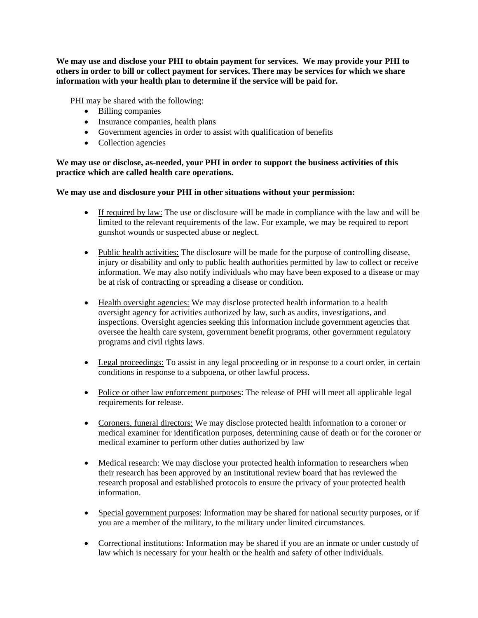**We may use and disclose your PHI to obtain payment for services. We may provide your PHI to others in order to bill or collect payment for services. There may be services for which we share information with your health plan to determine if the service will be paid for.**

PHI may be shared with the following:

- Billing companies
- Insurance companies, health plans
- Government agencies in order to assist with qualification of benefits
- Collection agencies

**We may use or disclose, as-needed, your PHI in order to support the business activities of this practice which are called health care operations.** 

**We may use and disclosure your PHI in other situations without your permission:**

- If required by law: The use or disclosure will be made in compliance with the law and will be limited to the relevant requirements of the law. For example, we may be required to report gunshot wounds or suspected abuse or neglect.
- Public health activities: The disclosure will be made for the purpose of controlling disease, injury or disability and only to public health authorities permitted by law to collect or receive information. We may also notify individuals who may have been exposed to a disease or may be at risk of contracting or spreading a disease or condition.
- Health oversight agencies: We may disclose protected health information to a health oversight agency for activities authorized by law, such as audits, investigations, and inspections. Oversight agencies seeking this information include government agencies that oversee the health care system, government benefit programs, other government regulatory programs and civil rights laws.
- Legal proceedings: To assist in any legal proceeding or in response to a court order, in certain conditions in response to a subpoena, or other lawful process.
- Police or other law enforcement purposes: The release of PHI will meet all applicable legal requirements for release.
- Coroners, funeral directors: We may disclose protected health information to a coroner or medical examiner for identification purposes, determining cause of death or for the coroner or medical examiner to perform other duties authorized by law
- Medical research: We may disclose your protected health information to researchers when their research has been approved by an institutional review board that has reviewed the research proposal and established protocols to ensure the privacy of your protected health information.
- Special government purposes: Information may be shared for national security purposes, or if you are a member of the military, to the military under limited circumstances.
- Correctional institutions: Information may be shared if you are an inmate or under custody of law which is necessary for your health or the health and safety of other individuals.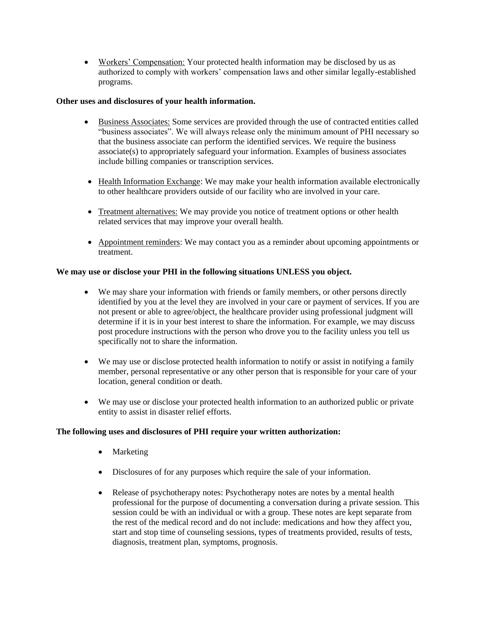Workers' Compensation: Your protected health information may be disclosed by us as authorized to comply with workers' compensation laws and other similar legally-established programs.

#### **Other uses and disclosures of your health information.**

- Business Associates: Some services are provided through the use of contracted entities called "business associates". We will always release only the minimum amount of PHI necessary so that the business associate can perform the identified services. We require the business associate(s) to appropriately safeguard your information. Examples of business associates include billing companies or transcription services.
- Health Information Exchange: We may make your health information available electronically to other healthcare providers outside of our facility who are involved in your care.
- Treatment alternatives: We may provide you notice of treatment options or other health related services that may improve your overall health.
- Appointment reminders: We may contact you as a reminder about upcoming appointments or treatment.

## **We may use or disclose your PHI in the following situations UNLESS you object.**

- We may share your information with friends or family members, or other persons directly identified by you at the level they are involved in your care or payment of services. If you are not present or able to agree/object, the healthcare provider using professional judgment will determine if it is in your best interest to share the information. For example, we may discuss post procedure instructions with the person who drove you to the facility unless you tell us specifically not to share the information.
- We may use or disclose protected health information to notify or assist in notifying a family member, personal representative or any other person that is responsible for your care of your location, general condition or death.
- We may use or disclose your protected health information to an authorized public or private entity to assist in disaster relief efforts.

#### **The following uses and disclosures of PHI require your written authorization:**

- Marketing
- Disclosures of for any purposes which require the sale of your information.
- Release of psychotherapy notes: Psychotherapy notes are notes by a mental health professional for the purpose of documenting a conversation during a private session. This session could be with an individual or with a group. These notes are kept separate from the rest of the medical record and do not include: medications and how they affect you, start and stop time of counseling sessions, types of treatments provided, results of tests, diagnosis, treatment plan, symptoms, prognosis.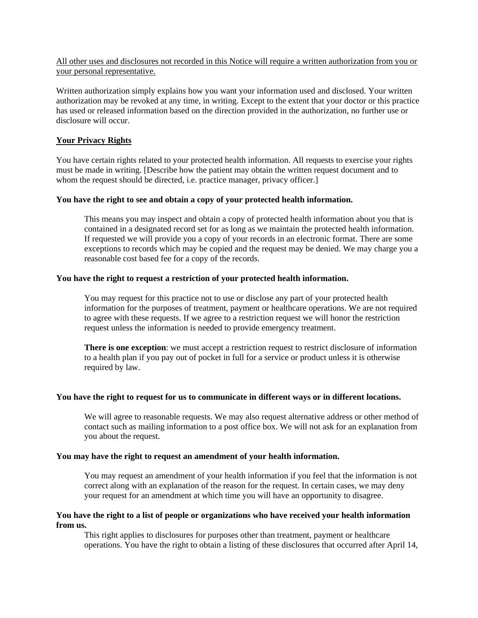#### All other uses and disclosures not recorded in this Notice will require a written authorization from you or your personal representative.

Written authorization simply explains how you want your information used and disclosed. Your written authorization may be revoked at any time, in writing. Except to the extent that your doctor or this practice has used or released information based on the direction provided in the authorization, no further use or disclosure will occur.

#### **Your Privacy Rights**

You have certain rights related to your protected health information. All requests to exercise your rights must be made in writing. [Describe how the patient may obtain the written request document and to whom the request should be directed, i.e. practice manager, privacy officer.

#### **You have the right to see and obtain a copy of your protected health information.**

This means you may inspect and obtain a copy of protected health information about you that is contained in a designated record set for as long as we maintain the protected health information. If requested we will provide you a copy of your records in an electronic format. There are some exceptions to records which may be copied and the request may be denied. We may charge you a reasonable cost based fee for a copy of the records.

## **You have the right to request a restriction of your protected health information.**

You may request for this practice not to use or disclose any part of your protected health information for the purposes of treatment, payment or healthcare operations. We are not required to agree with these requests. If we agree to a restriction request we will honor the restriction request unless the information is needed to provide emergency treatment.

**There is one exception**: we must accept a restriction request to restrict disclosure of information to a health plan if you pay out of pocket in full for a service or product unless it is otherwise required by law.

#### **You have the right to request for us to communicate in different ways or in different locations.**

We will agree to reasonable requests. We may also request alternative address or other method of contact such as mailing information to a post office box. We will not ask for an explanation from you about the request.

#### **You may have the right to request an amendment of your health information.**

You may request an amendment of your health information if you feel that the information is not correct along with an explanation of the reason for the request. In certain cases, we may deny your request for an amendment at which time you will have an opportunity to disagree.

#### **You have the right to a list of people or organizations who have received your health information from us.**

This right applies to disclosures for purposes other than treatment, payment or healthcare operations. You have the right to obtain a listing of these disclosures that occurred after April 14,